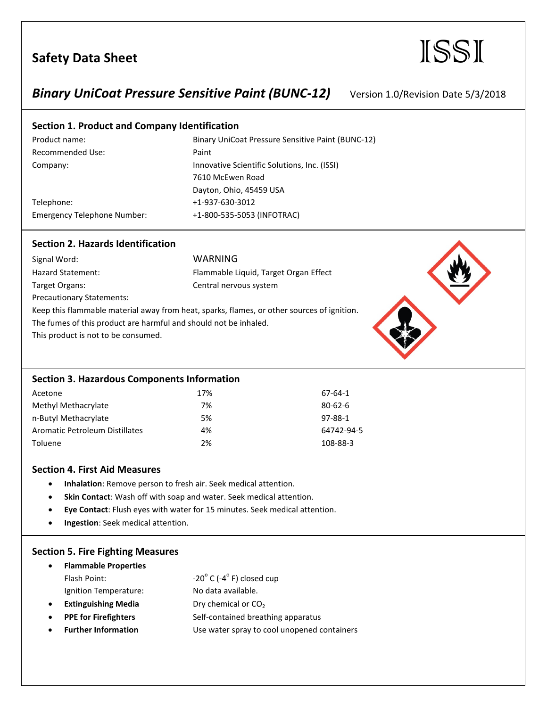## *Binary UniCoat Pressure Sensitive Paint (BUNC-12)* Version 1.0/Revision Date 5/3/2018

#### **Section 1. Product and Company Identification**

Signal Word: WARNING

Recommended Use: Paint

Product name: Binary UniCoat Pressure Sensitive Paint (BUNC-12) Company: Innovative Scientific Solutions, Inc. (ISSI) 7610 McEwen Road Dayton, Ohio, 45459 USA Telephone: +1-937-630-3012 Emergency Telephone Number: +1-800-535-5053 (INFOTRAC)

64742-94-5

#### **Section 2. Hazards Identification**

Hazard Statement: Flammable Liquid, Target Organ Effect Target Organs: Central nervous system Precautionary Statements: Keep this flammable material away from heat, sparks, flames, or other sources of ignition. The fumes of this product are harmful and should not be inhaled. This product is not to be consumed.

| <b>Section 3. Hazardous Components Information</b> |     |               |  |
|----------------------------------------------------|-----|---------------|--|
| Acetone                                            | 17% | 67-64-1       |  |
| Methyl Methacrylate                                | 7%  | $80 - 62 - 6$ |  |
| n-Butyl Methacrylate                               | 5%  | 97-88-1       |  |
| Aromatic Petroleum Distillates                     | 4%  | 64742-94      |  |
| Toluene                                            | 2%  | 108-88-3      |  |

#### **Section 4. First Aid Measures**

- **Inhalation**: Remove person to fresh air. Seek medical attention.
- **Skin Contact**: Wash off with soap and water. Seek medical attention.
- **Eye Contact**: Flush eyes with water for 15 minutes. Seek medical attention.
- **Ingestion**: Seek medical attention.

#### **Section 5. Fire Fighting Measures**

| $\bullet$ | <b>Flammable Properties</b> |                                              |
|-----------|-----------------------------|----------------------------------------------|
|           | Flash Point:                | $-20^{\circ}$ C (-4 $^{\circ}$ F) closed cup |
|           | Ignition Temperature:       | No data available.                           |
| $\bullet$ | <b>Extinguishing Media</b>  | Dry chemical or CO <sub>2</sub>              |
| $\bullet$ | <b>PPE for Firefighters</b> | Self-contained breathing apparatus           |

**Further Information** Use water spray to cool unopened containers

# Safety Data Sheet **ISSI**

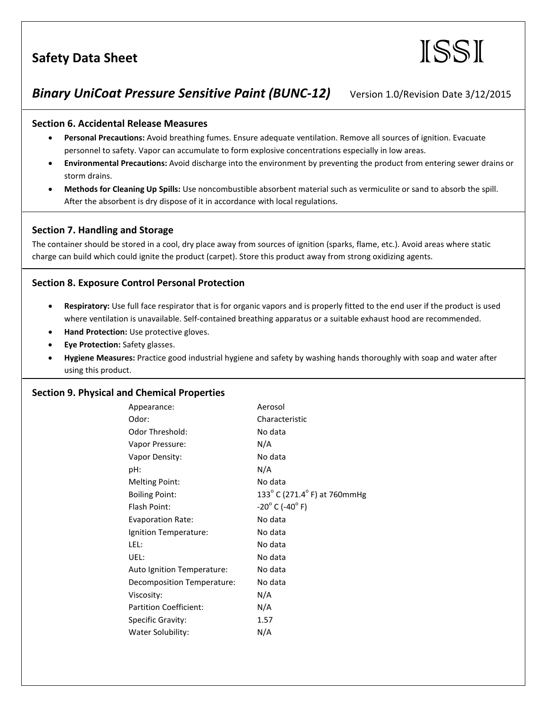

## *Binary UniCoat Pressure Sensitive Paint (BUNC-12)* Version 1.0/Revision Date 3/12/2015

### **Section 6. Accidental Release Measures**

- **Personal Precautions:** Avoid breathing fumes. Ensure adequate ventilation. Remove all sources of ignition. Evacuate personnel to safety. Vapor can accumulate to form explosive concentrations especially in low areas.
- **Environmental Precautions:** Avoid discharge into the environment by preventing the product from entering sewer drains or storm drains.
- **Methods for Cleaning Up Spills:** Use noncombustible absorbent material such as vermiculite or sand to absorb the spill. After the absorbent is dry dispose of it in accordance with local regulations.

### **Section 7. Handling and Storage**

The container should be stored in a cool, dry place away from sources of ignition (sparks, flame, etc.). Avoid areas where static charge can build which could ignite the product (carpet). Store this product away from strong oxidizing agents.

## **Section 8. Exposure Control Personal Protection**

- **Respiratory:** Use full face respirator that is for organic vapors and is properly fitted to the end user if the product is used where ventilation is unavailable. Self-contained breathing apparatus or a suitable exhaust hood are recommended.
- **Hand Protection:** Use protective gloves.
- **Eye Protection:** Safety glasses.
- **Hygiene Measures:** Practice good industrial hygiene and safety by washing hands thoroughly with soap and water after using this product.

#### **Section 9. Physical and Chemical Properties**

| Appearance:                   | Aerosol                            |
|-------------------------------|------------------------------------|
|                               |                                    |
| Odor:                         | Characteristic                     |
| Odor Threshold:               | No data                            |
| Vapor Pressure:               | N/A                                |
| Vapor Density:                | No data                            |
| pH:                           | N/A                                |
| <b>Melting Point:</b>         | No data                            |
| <b>Boiling Point:</b>         | 133° C (271.4° F) at 760mmHg       |
| Flash Point:                  | $-20^{\circ}$ C (-40 $^{\circ}$ F) |
| <b>Evaporation Rate:</b>      | No data                            |
| Ignition Temperature:         | No data                            |
| LEL:                          | No data                            |
| UEL:                          | No data                            |
| Auto Ignition Temperature:    | No data                            |
| Decomposition Temperature:    | No data                            |
| Viscosity:                    | N/A                                |
| <b>Partition Coefficient:</b> | N/A                                |
| Specific Gravity:             | 1.57                               |
| Water Solubility:             | N/A                                |